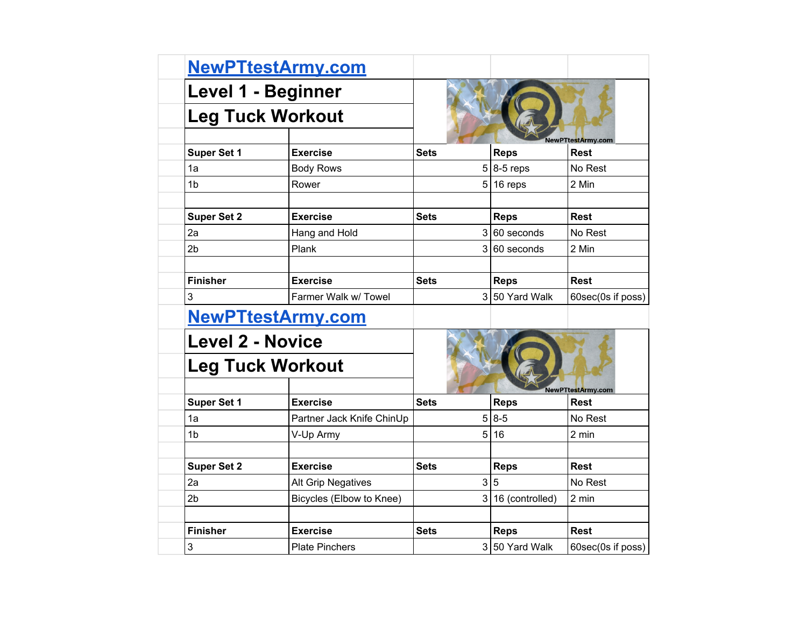|                         | NewPTtestArmy.com         |             |                   |                          |  |
|-------------------------|---------------------------|-------------|-------------------|--------------------------|--|
|                         | Level 1 - Beginner        |             |                   |                          |  |
| <b>Leg Tuck Workout</b> |                           |             |                   |                          |  |
|                         |                           |             |                   | NewPTtestArmy.com        |  |
| <b>Super Set 1</b>      | <b>Exercise</b>           | <b>Sets</b> | <b>Reps</b>       | <b>Rest</b>              |  |
| 1a                      | <b>Body Rows</b>          |             | $5 8-5$ reps      | No Rest                  |  |
| 1 <sub>b</sub>          | Rower                     |             | $5 16$ reps       | 2 Min                    |  |
|                         |                           |             |                   |                          |  |
| <b>Super Set 2</b>      | <b>Exercise</b>           | <b>Sets</b> | <b>Reps</b>       | <b>Rest</b>              |  |
| 2a                      | Hang and Hold             |             | $3 60$ seconds    | No Rest                  |  |
| 2 <sub>b</sub>          | Plank                     |             | $3 60$ seconds    | 2 Min                    |  |
|                         |                           |             |                   |                          |  |
| <b>Finisher</b>         | <b>Exercise</b>           | <b>Sets</b> | <b>Reps</b>       | <b>Rest</b>              |  |
| 3                       | Farmer Walk w/ Towel      |             | 3 50 Yard Walk    | 60sec(0s if poss)        |  |
|                         | <u>NewPTtestArmy.com</u>  |             |                   |                          |  |
|                         | <b>Level 2 - Novice</b>   |             |                   |                          |  |
|                         | <b>Leg Tuck Workout</b>   |             |                   |                          |  |
|                         |                           |             |                   | <b>NewPTtestArmy.com</b> |  |
| <b>Super Set 1</b>      | <b>Exercise</b>           | <b>Sets</b> | <b>Reps</b>       | <b>Rest</b>              |  |
| 1a                      | Partner Jack Knife ChinUp |             | $5 8-5$           | No Rest                  |  |
| 1 <sub>b</sub>          | V-Up Army                 |             | 5 16              | 2 min                    |  |
|                         |                           |             |                   |                          |  |
| <b>Super Set 2</b>      | <b>Exercise</b>           | Sets        | <b>Reps</b>       | <b>Rest</b>              |  |
| 2a                      | Alt Grip Negatives        |             | 3 5               | No Rest                  |  |
| 2 <sub>b</sub>          | Bicycles (Elbow to Knee)  |             | 3 16 (controlled) | 2 min                    |  |
|                         |                           |             |                   |                          |  |
| <b>Finisher</b>         | <b>Exercise</b>           | Sets        | <b>Reps</b>       | <b>Rest</b>              |  |
| 3                       | <b>Plate Pinchers</b>     |             | 3 50 Yard Walk    | 60sec(0s if poss)        |  |